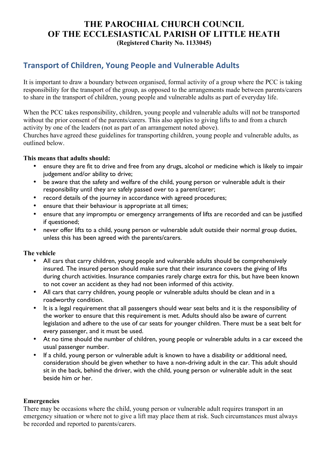## **THE PAROCHIAL CHURCH COUNCIL OF THE ECCLESIASTICAL PARISH OF LITTLE HEATH (Registered Charity No. 1133045)**

# **Transport of Children, Young People and Vulnerable Adults**

It is important to draw a boundary between organised, formal activity of a group where the PCC is taking responsibility for the transport of the group, as opposed to the arrangements made between parents/carers to share in the transport of children, young people and vulnerable adults as part of everyday life.

When the PCC takes responsibility, children, young people and vulnerable adults will not be transported without the prior consent of the parents/carers. This also applies to giving lifts to and from a church activity by one of the leaders (not as part of an arrangement noted above).

Churches have agreed these guidelines for transporting children, young people and vulnerable adults, as outlined below.

#### **This means that adults should:**

- ensure they are fit to drive and free from any drugs, alcohol or medicine which is likely to impair judgement and/or ability to drive;
- be aware that the safety and welfare of the child, young person or vulnerable adult is their responsibility until they are safely passed over to a parent/carer;
- record details of the journey in accordance with agreed procedures;
- ensure that their behaviour is appropriate at all times;
- ensure that any impromptu or emergency arrangements of lifts are recorded and can be justified if questioned;
- never offer lifts to a child, young person or vulnerable adult outside their normal group duties, unless this has been agreed with the parents/carers.

#### **The vehicle**

- All cars that carry children, young people and vulnerable adults should be comprehensively insured. The insured person should make sure that their insurance covers the giving of lifts during church activities. Insurance companies rarely charge extra for this, but have been known to not cover an accident as they had not been informed of this activity.
- All cars that carry children, young people or vulnerable adults should be clean and in a roadworthy condition.
- It is a legal requirement that all passengers should wear seat belts and it is the responsibility of the worker to ensure that this requirement is met. Adults should also be aware of current legislation and adhere to the use of car seats for younger children. There must be a seat belt for every passenger, and it must be used.
- At no time should the number of children, young people or vulnerable adults in a car exceed the usual passenger number.
- If a child, young person or vulnerable adult is known to have a disability or additional need, consideration should be given whether to have a non-driving adult in the car. This adult should sit in the back, behind the driver, with the child, young person or vulnerable adult in the seat beside him or her.

#### **Emergencies**

There may be occasions where the child, young person or vulnerable adult requires transport in an emergency situation or where not to give a lift may place them at risk. Such circumstances must always be recorded and reported to parents/carers.